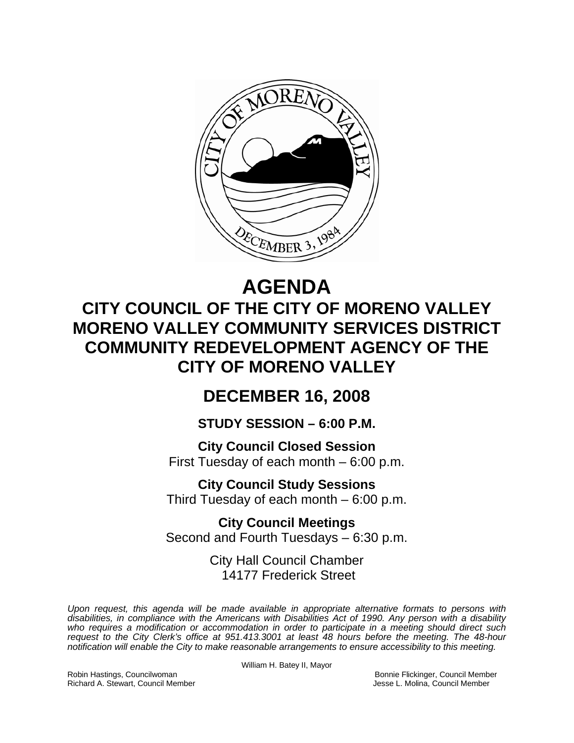

# **AGENDA CITY COUNCIL OF THE CITY OF MORENO VALLEY MORENO VALLEY COMMUNITY SERVICES DISTRICT COMMUNITY REDEVELOPMENT AGENCY OF THE CITY OF MORENO VALLEY**

## **DECEMBER 16, 2008**

**STUDY SESSION – 6:00 P.M.** 

**City Council Closed Session**  First Tuesday of each month – 6:00 p.m.

**City Council Study Sessions**  Third Tuesday of each month – 6:00 p.m.

**City Council Meetings**  Second and Fourth Tuesdays – 6:30 p.m.

> City Hall Council Chamber 14177 Frederick Street

*Upon request, this agenda will be made available in appropriate alternative formats to persons with disabilities, in compliance with the Americans with Disabilities Act of 1990. Any person with a disability who requires a modification or accommodation in order to participate in a meeting should direct such request to the City Clerk's office at 951.413.3001 at least 48 hours before the meeting. The 48-hour notification will enable the City to make reasonable arrangements to ensure accessibility to this meeting.* 

Robin Hastings, Councilwoman Bonnie Flickinger, Council Member Richard A. Stewart, Council Member Jesse L. Molina, Council Member

William H. Batey II, Mayor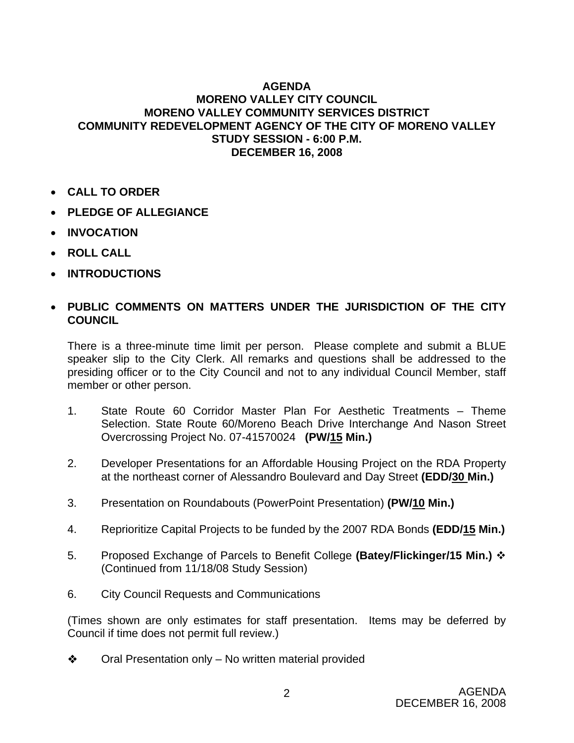#### **AGENDA MORENO VALLEY CITY COUNCIL MORENO VALLEY COMMUNITY SERVICES DISTRICT COMMUNITY REDEVELOPMENT AGENCY OF THE CITY OF MORENO VALLEY STUDY SESSION - 6:00 P.M. DECEMBER 16, 2008**

- **CALL TO ORDER**
- **PLEDGE OF ALLEGIANCE**
- **INVOCATION**
- **ROLL CALL**
- **INTRODUCTIONS**

### • **PUBLIC COMMENTS ON MATTERS UNDER THE JURISDICTION OF THE CITY COUNCIL**

There is a three-minute time limit per person. Please complete and submit a BLUE speaker slip to the City Clerk. All remarks and questions shall be addressed to the presiding officer or to the City Council and not to any individual Council Member, staff member or other person.

- 1. State Route 60 Corridor Master Plan For Aesthetic Treatments Theme Selection. State Route 60/Moreno Beach Drive Interchange And Nason Street Overcrossing Project No. 07-41570024 **(PW/15 Min.)**
- 2. Developer Presentations for an Affordable Housing Project on the RDA Property at the northeast corner of Alessandro Boulevard and Day Street **(EDD/30 Min.)**
- 3. Presentation on Roundabouts (PowerPoint Presentation) **(PW/10 Min.)**
- 4. Reprioritize Capital Projects to be funded by the 2007 RDA Bonds **(EDD/15 Min.)**
- 5. Proposed Exchange of Parcels to Benefit College **(Batey/Flickinger/15 Min.)**  (Continued from 11/18/08 Study Session)
- 6. City Council Requests and Communications

(Times shown are only estimates for staff presentation. Items may be deferred by Council if time does not permit full review.)

 $\triangle$  Oral Presentation only – No written material provided